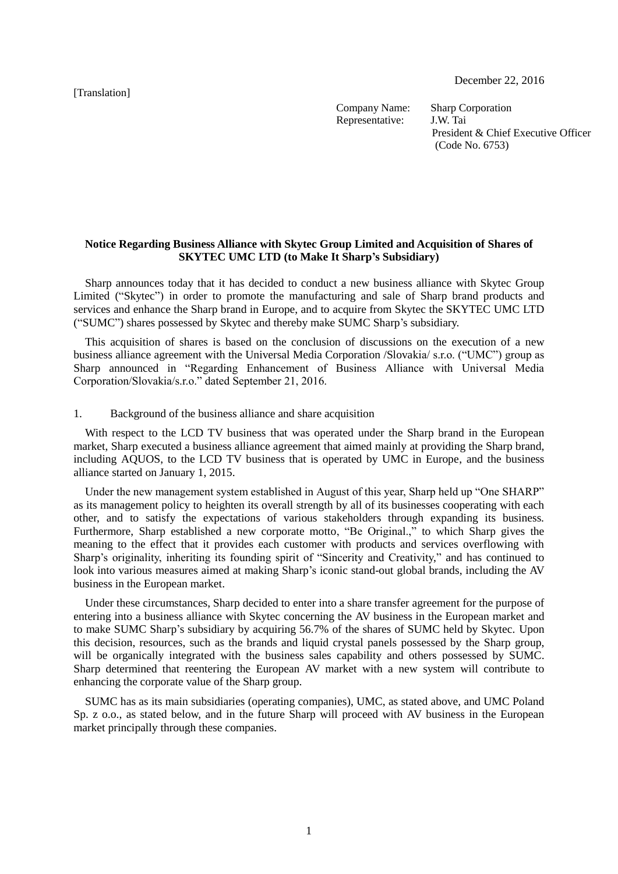[Translation]

December 22, 2016

Company Name: Sharp Corporation Representative: J.W. Tai

President & Chief Executive Officer (Code No. 6753)

## **Notice Regarding Business Alliance with Skytec Group Limited and Acquisition of Shares of SKYTEC UMC LTD (to Make It Sharp's Subsidiary)**

Sharp announces today that it has decided to conduct a new business alliance with Skytec Group Limited ("Skytec") in order to promote the manufacturing and sale of Sharp brand products and services and enhance the Sharp brand in Europe, and to acquire from Skytec the SKYTEC UMC LTD ("SUMC") shares possessed by Skytec and thereby make SUMC Sharp's subsidiary.

This acquisition of shares is based on the conclusion of discussions on the execution of a new business alliance agreement with the Universal Media Corporation /Slovakia/ s.r.o. ("UMC") group as Sharp announced in "Regarding Enhancement of Business Alliance with Universal Media Corporation/Slovakia/s.r.o." dated September 21, 2016.

1. Background of the business alliance and share acquisition

With respect to the LCD TV business that was operated under the Sharp brand in the European market, Sharp executed a business alliance agreement that aimed mainly at providing the Sharp brand, including AQUOS, to the LCD TV business that is operated by UMC in Europe, and the business alliance started on January 1, 2015.

Under the new management system established in August of this year, Sharp held up "One SHARP" as its management policy to heighten its overall strength by all of its businesses cooperating with each other, and to satisfy the expectations of various stakeholders through expanding its business. Furthermore, Sharp established a new corporate motto, "Be Original.," to which Sharp gives the meaning to the effect that it provides each customer with products and services overflowing with Sharp's originality, inheriting its founding spirit of "Sincerity and Creativity," and has continued to look into various measures aimed at making Sharp's iconic stand-out global brands, including the AV business in the European market.

Under these circumstances, Sharp decided to enter into a share transfer agreement for the purpose of entering into a business alliance with Skytec concerning the AV business in the European market and to make SUMC Sharp's subsidiary by acquiring 56.7% of the shares of SUMC held by Skytec. Upon this decision, resources, such as the brands and liquid crystal panels possessed by the Sharp group, will be organically integrated with the business sales capability and others possessed by SUMC. Sharp determined that reentering the European AV market with a new system will contribute to enhancing the corporate value of the Sharp group.

SUMC has as its main subsidiaries (operating companies), UMC, as stated above, and UMC Poland Sp. z o.o., as stated below, and in the future Sharp will proceed with AV business in the European market principally through these companies.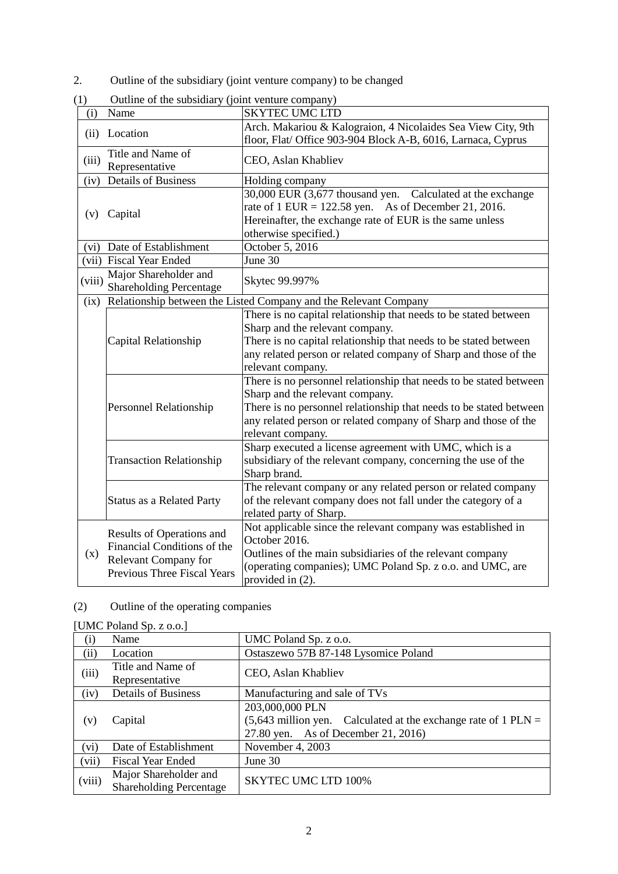2. Outline of the subsidiary (joint venture company) to be changed

| (i)    | Name                                                                                                                   | <b>SKYTEC UMC LTD</b>                                                                                                                                                                                                                                               |  |  |
|--------|------------------------------------------------------------------------------------------------------------------------|---------------------------------------------------------------------------------------------------------------------------------------------------------------------------------------------------------------------------------------------------------------------|--|--|
|        | (ii) Location                                                                                                          | Arch. Makariou & Kalograion, 4 Nicolaides Sea View City, 9th<br>floor, Flat/ Office 903-904 Block A-B, 6016, Larnaca, Cyprus                                                                                                                                        |  |  |
| (iii)  | Title and Name of<br>Representative                                                                                    | CEO, Aslan Khabliev                                                                                                                                                                                                                                                 |  |  |
| (iv)   | <b>Details of Business</b>                                                                                             | Holding company                                                                                                                                                                                                                                                     |  |  |
| (v)    | Capital                                                                                                                | 30,000 EUR (3,677 thousand yen. Calculated at the exchange<br>rate of $1$ EUR = 122.58 yen. As of December 21, 2016.<br>Hereinafter, the exchange rate of EUR is the same unless<br>otherwise specified.)                                                           |  |  |
| (vi)   | Date of Establishment                                                                                                  | October 5, 2016                                                                                                                                                                                                                                                     |  |  |
|        | (vii) Fiscal Year Ended                                                                                                | June 30                                                                                                                                                                                                                                                             |  |  |
| (viii) | Major Shareholder and<br><b>Shareholding Percentage</b>                                                                | Skytec 99.997%                                                                                                                                                                                                                                                      |  |  |
| (ix)   | Relationship between the Listed Company and the Relevant Company                                                       |                                                                                                                                                                                                                                                                     |  |  |
|        | Capital Relationship                                                                                                   | There is no capital relationship that needs to be stated between<br>Sharp and the relevant company.<br>There is no capital relationship that needs to be stated between<br>any related person or related company of Sharp and those of the<br>relevant company.     |  |  |
|        | <b>Personnel Relationship</b>                                                                                          | There is no personnel relationship that needs to be stated between<br>Sharp and the relevant company.<br>There is no personnel relationship that needs to be stated between<br>any related person or related company of Sharp and those of the<br>relevant company. |  |  |
|        | <b>Transaction Relationship</b>                                                                                        | Sharp executed a license agreement with UMC, which is a<br>subsidiary of the relevant company, concerning the use of the<br>Sharp brand.                                                                                                                            |  |  |
|        | <b>Status as a Related Party</b>                                                                                       | The relevant company or any related person or related company<br>of the relevant company does not fall under the category of a<br>related party of Sharp.                                                                                                           |  |  |
| (x)    | Results of Operations and<br>Financial Conditions of the<br>Relevant Company for<br><b>Previous Three Fiscal Years</b> | Not applicable since the relevant company was established in<br>October 2016.<br>Outlines of the main subsidiaries of the relevant company<br>(operating companies); UMC Poland Sp. z o.o. and UMC, are<br>provided in (2).                                         |  |  |

(1) Outline of the subsidiary (joint venture company)

## (2) Outline of the operating companies

| (i)    | Name                                                    | UMC Poland Sp. z o.o.                                                                                                      |  |  |
|--------|---------------------------------------------------------|----------------------------------------------------------------------------------------------------------------------------|--|--|
| (ii)   | Location                                                | Ostaszewo 57B 87-148 Lysomice Poland                                                                                       |  |  |
| (iii)  | Title and Name of<br>Representative                     | CEO, Aslan Khabliev                                                                                                        |  |  |
| (iv)   | <b>Details of Business</b>                              | Manufacturing and sale of TVs                                                                                              |  |  |
| (v)    | Capital                                                 | 203,000,000 PLN<br>$(5,643$ million yen. Calculated at the exchange rate of 1 PLN =<br>27.80 yen. As of December 21, 2016) |  |  |
| (vi)   | Date of Establishment                                   | November 4, 2003                                                                                                           |  |  |
| (vii)  | <b>Fiscal Year Ended</b>                                | June $30$                                                                                                                  |  |  |
| (viii) | Major Shareholder and<br><b>Shareholding Percentage</b> | <b>SKYTEC UMC LTD 100%</b>                                                                                                 |  |  |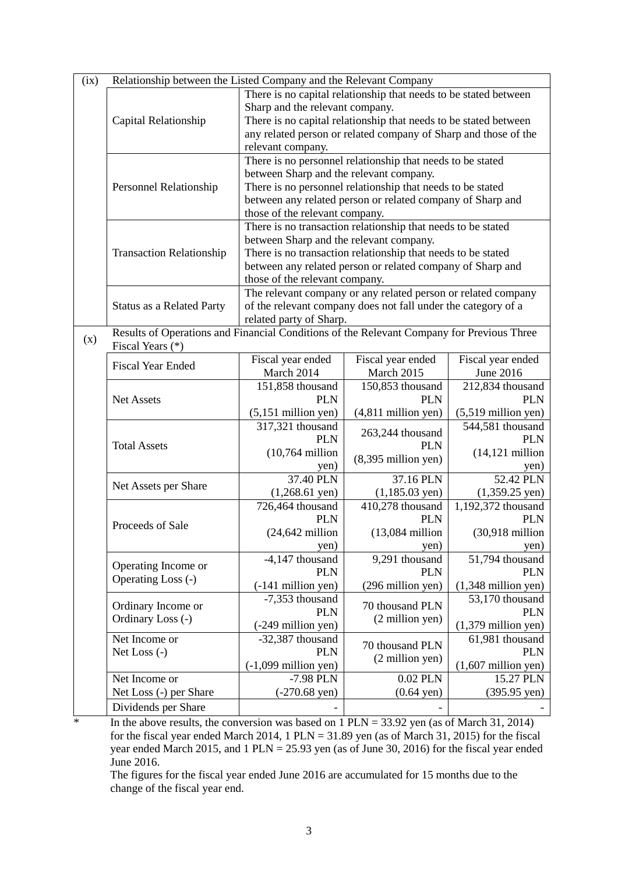| (ix) | Relationship between the Listed Company and the Relevant Company                          |                                                                                                         |                                                               |                                          |  |
|------|-------------------------------------------------------------------------------------------|---------------------------------------------------------------------------------------------------------|---------------------------------------------------------------|------------------------------------------|--|
|      |                                                                                           | There is no capital relationship that needs to be stated between                                        |                                                               |                                          |  |
|      |                                                                                           | Sharp and the relevant company.                                                                         |                                                               |                                          |  |
|      | Capital Relationship                                                                      | There is no capital relationship that needs to be stated between                                        |                                                               |                                          |  |
|      |                                                                                           | any related person or related company of Sharp and those of the                                         |                                                               |                                          |  |
|      |                                                                                           | relevant company.                                                                                       |                                                               |                                          |  |
|      |                                                                                           | There is no personnel relationship that needs to be stated                                              |                                                               |                                          |  |
|      |                                                                                           | between Sharp and the relevant company.                                                                 |                                                               |                                          |  |
|      | Personnel Relationship                                                                    |                                                                                                         | There is no personnel relationship that needs to be stated    |                                          |  |
|      |                                                                                           | between any related person or related company of Sharp and                                              |                                                               |                                          |  |
|      |                                                                                           | those of the relevant company.                                                                          |                                                               |                                          |  |
|      |                                                                                           | There is no transaction relationship that needs to be stated<br>between Sharp and the relevant company. |                                                               |                                          |  |
|      |                                                                                           |                                                                                                         |                                                               |                                          |  |
|      | <b>Transaction Relationship</b>                                                           |                                                                                                         | There is no transaction relationship that needs to be stated  |                                          |  |
|      |                                                                                           |                                                                                                         | between any related person or related company of Sharp and    |                                          |  |
|      |                                                                                           | those of the relevant company.                                                                          |                                                               |                                          |  |
|      |                                                                                           |                                                                                                         | The relevant company or any related person or related company |                                          |  |
|      | <b>Status as a Related Party</b>                                                          |                                                                                                         | of the relevant company does not fall under the category of a |                                          |  |
|      |                                                                                           | related party of Sharp.                                                                                 |                                                               |                                          |  |
| (x)  | Results of Operations and Financial Conditions of the Relevant Company for Previous Three |                                                                                                         |                                                               |                                          |  |
|      | Fiscal Years (*)                                                                          |                                                                                                         |                                                               |                                          |  |
|      | <b>Fiscal Year Ended</b>                                                                  | Fiscal year ended                                                                                       | Fiscal year ended                                             | Fiscal year ended                        |  |
|      |                                                                                           | March 2014                                                                                              | March 2015                                                    | June 2016                                |  |
|      |                                                                                           | 151,858 thousand                                                                                        | 150,853 thousand                                              | 212,834 thousand                         |  |
|      | <b>Net Assets</b>                                                                         | <b>PLN</b>                                                                                              | <b>PLN</b>                                                    | <b>PLN</b>                               |  |
|      |                                                                                           | $(5,151$ million yen)                                                                                   | $(4,811$ million yen)                                         | $(5,519$ million yen)                    |  |
|      |                                                                                           | 317,321 thousand                                                                                        | 263,244 thousand                                              | 544,581 thousand                         |  |
|      | <b>Total Assets</b>                                                                       | <b>PLN</b>                                                                                              | <b>PLN</b>                                                    | <b>PLN</b>                               |  |
|      |                                                                                           | $(10,764$ million                                                                                       | $(8,395$ million yen)                                         | $(14, 121$ million                       |  |
|      |                                                                                           | yen)                                                                                                    |                                                               | yen)                                     |  |
|      | Net Assets per Share                                                                      | 37.40 PLN                                                                                               | 37.16 PLN                                                     | 52.42 PLN                                |  |
|      |                                                                                           | $(1,268.61$ yen)                                                                                        | $(1,185.03 \text{ yen})$                                      | $(1,359.25 \text{ yen})$                 |  |
|      |                                                                                           | 726,464 thousand                                                                                        | 410,278 thousand                                              | 1,192,372 thousand                       |  |
|      | Proceeds of Sale                                                                          | <b>PLN</b>                                                                                              | <b>PLN</b>                                                    | <b>PLN</b>                               |  |
|      |                                                                                           | $(24, 642$ million                                                                                      | $(13,084$ million                                             | $(30,918 \text{ million})$               |  |
|      |                                                                                           | yen)                                                                                                    | yen)                                                          | yen)                                     |  |
|      | Operating Income or                                                                       | -4,147 thousand<br><b>PLN</b>                                                                           | 9,291 thousand<br><b>PLN</b>                                  | 51,794 thousand<br><b>PLN</b>            |  |
|      | Operating Loss (-)                                                                        |                                                                                                         |                                                               |                                          |  |
|      |                                                                                           | $(-141$ million yen)                                                                                    | (296 million yen)                                             | $(1,348$ million yen)<br>53,170 thousand |  |
|      | Ordinary Income or                                                                        | -7,353 thousand<br><b>PLN</b>                                                                           | 70 thousand PLN                                               | <b>PLN</b>                               |  |
|      | Ordinary Loss (-)                                                                         |                                                                                                         | (2 million yen)                                               |                                          |  |
|      | Net Income or                                                                             | (-249 million yen)<br>-32,387 thousand                                                                  |                                                               | $(1,379$ million yen)<br>61,981 thousand |  |
|      | Net Loss (-)                                                                              | <b>PLN</b>                                                                                              | 70 thousand PLN                                               | <b>PLN</b>                               |  |
|      |                                                                                           | $(-1,099$ million yen)                                                                                  | (2 million yen)                                               | $(1,607$ million yen)                    |  |
|      | Net Income or                                                                             | -7.98 PLN                                                                                               | 0.02 PLN                                                      | 15.27 PLN                                |  |
|      | Net Loss (-) per Share                                                                    | $(-270.68 \text{ yen})$                                                                                 | $(0.64 \text{ yen})$                                          | $(395.95 \text{ yen})$                   |  |
|      |                                                                                           |                                                                                                         |                                                               |                                          |  |
|      | Dividends per Share                                                                       |                                                                                                         |                                                               |                                          |  |

 $\overline{\phantom{a}}$  In the above results, the conversion was based on 1 PLN = 33.92 yen (as of March 31, 2014) for the fiscal year ended March 2014, 1 PLN =  $31.89$  yen (as of March 31, 2015) for the fiscal year ended March 2015, and 1 PLN = 25.93 yen (as of June 30, 2016) for the fiscal year ended June 2016.

The figures for the fiscal year ended June 2016 are accumulated for 15 months due to the change of the fiscal year end.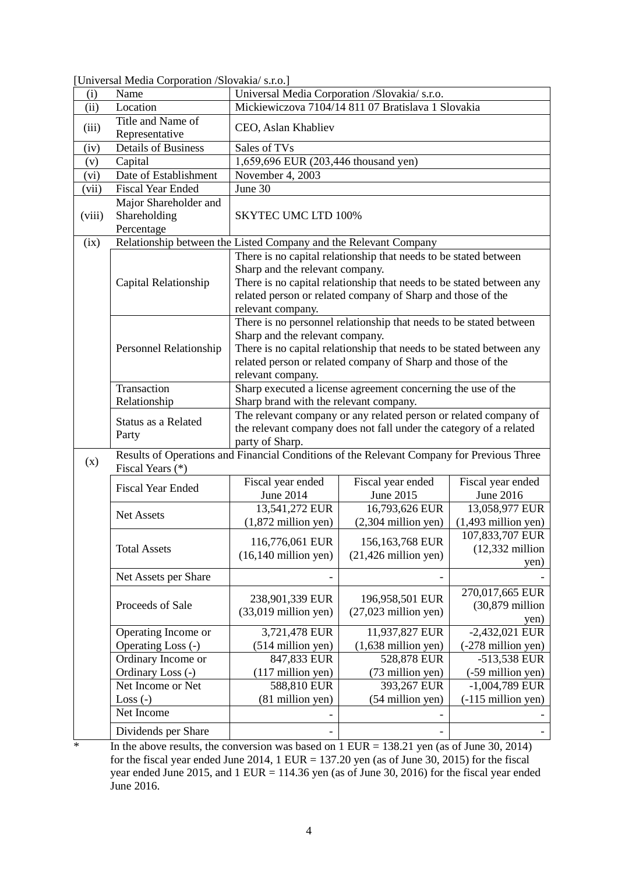| Universal Media Corporation /Slovakia/ s.r.o.<br>Name<br>(i)<br>(ii)<br>Mickiewiczova 7104/14 811 07 Bratislava 1 Slovakia<br>Location<br>Title and Name of<br>(iii)<br>CEO, Aslan Khabliev<br>Representative<br><b>Details of Business</b><br>Sales of TVs<br>(iv)<br>1,659,696 EUR (203,446 thousand yen)<br>Capital<br>(v)<br>Date of Establishment<br>November 4, 2003<br>(vi)<br>June 30<br><b>Fiscal Year Ended</b><br>(vii)<br>Major Shareholder and<br><b>SKYTEC UMC LTD 100%</b><br>Shareholding<br>(viii)<br>Percentage<br>Relationship between the Listed Company and the Relevant Company<br>(ix)<br>There is no capital relationship that needs to be stated between<br>Sharp and the relevant company.<br>There is no capital relationship that needs to be stated between any<br>Capital Relationship<br>related person or related company of Sharp and those of the<br>relevant company.<br>There is no personnel relationship that needs to be stated between<br>Sharp and the relevant company.<br>There is no capital relationship that needs to be stated between any<br>Personnel Relationship<br>related person or related company of Sharp and those of the<br>relevant company.<br>Transaction<br>Sharp executed a license agreement concerning the use of the<br>Relationship<br>Sharp brand with the relevant company.<br>The relevant company or any related person or related company of<br>Status as a Related<br>the relevant company does not fall under the category of a related<br>Party<br>party of Sharp.<br>Results of Operations and Financial Conditions of the Relevant Company for Previous Three<br>(x)<br>Fiscal Years (*)<br>Fiscal year ended<br>Fiscal year ended<br>Fiscal year ended<br><b>Fiscal Year Ended</b><br>June 2014<br>June 2015<br>June 2016<br>13,541,272 EUR<br>16,793,626 EUR<br>13,058,977 EUR<br>Net Assets<br>$(1,872$ million yen)<br>$(2,304$ million yen)<br>$(1,493$ million yen)<br>107,833,707 EUR<br>116,776,061 EUR<br>156,163,768 EUR<br>$(12,332$ million<br><b>Total Assets</b><br>$(16,140 \text{ million yen})$<br>$(21,426$ million yen)<br>yen)<br>Net Assets per Share<br>270,017,665 EUR<br>196,958,501 EUR<br>238,901,339 EUR<br>$(30,879)$ million<br>Proceeds of Sale<br>$(33,019)$ million yen)<br>$(27,023$ million yen)<br>yen)<br>$-2,432,021$ EUR<br>Operating Income or<br>3,721,478 EUR<br>11,937,827 EUR<br>Operating Loss (-)<br>$(514$ million yen)<br>$(1,638$ million yen)<br>(-278 million yen)<br>847,833 EUR<br>528,878 EUR<br>-513,538 EUR<br>Ordinary Income or<br>Ordinary Loss (-)<br>(117 million yen)<br>(73 million yen)<br>(-59 million yen)<br>Net Income or Net<br>588,810 EUR<br>393,267 EUR<br>$-1,004,789$ EUR<br>(81 million yen)<br>$(54$ million yen)<br>$(-115 \text{ million yen})$<br>Loss $(-)$<br>Net Income |  | Omversal Nicula Corporation / Slovakia 3.1.0.] |   |  |  |  |
|---------------------------------------------------------------------------------------------------------------------------------------------------------------------------------------------------------------------------------------------------------------------------------------------------------------------------------------------------------------------------------------------------------------------------------------------------------------------------------------------------------------------------------------------------------------------------------------------------------------------------------------------------------------------------------------------------------------------------------------------------------------------------------------------------------------------------------------------------------------------------------------------------------------------------------------------------------------------------------------------------------------------------------------------------------------------------------------------------------------------------------------------------------------------------------------------------------------------------------------------------------------------------------------------------------------------------------------------------------------------------------------------------------------------------------------------------------------------------------------------------------------------------------------------------------------------------------------------------------------------------------------------------------------------------------------------------------------------------------------------------------------------------------------------------------------------------------------------------------------------------------------------------------------------------------------------------------------------------------------------------------------------------------------------------------------------------------------------------------------------------------------------------------------------------------------------------------------------------------------------------------------------------------------------------------------------------------------------------------------------------------------------------------------------------------------------------------------------------------------------------------------------------------------------------------------------------------------------------------------------------------------------------------------------------------------------------------------------------------------------------------------------------------------------------------------------------------------|--|------------------------------------------------|---|--|--|--|
|                                                                                                                                                                                                                                                                                                                                                                                                                                                                                                                                                                                                                                                                                                                                                                                                                                                                                                                                                                                                                                                                                                                                                                                                                                                                                                                                                                                                                                                                                                                                                                                                                                                                                                                                                                                                                                                                                                                                                                                                                                                                                                                                                                                                                                                                                                                                                                                                                                                                                                                                                                                                                                                                                                                                                                                                                                       |  |                                                |   |  |  |  |
|                                                                                                                                                                                                                                                                                                                                                                                                                                                                                                                                                                                                                                                                                                                                                                                                                                                                                                                                                                                                                                                                                                                                                                                                                                                                                                                                                                                                                                                                                                                                                                                                                                                                                                                                                                                                                                                                                                                                                                                                                                                                                                                                                                                                                                                                                                                                                                                                                                                                                                                                                                                                                                                                                                                                                                                                                                       |  |                                                |   |  |  |  |
|                                                                                                                                                                                                                                                                                                                                                                                                                                                                                                                                                                                                                                                                                                                                                                                                                                                                                                                                                                                                                                                                                                                                                                                                                                                                                                                                                                                                                                                                                                                                                                                                                                                                                                                                                                                                                                                                                                                                                                                                                                                                                                                                                                                                                                                                                                                                                                                                                                                                                                                                                                                                                                                                                                                                                                                                                                       |  |                                                |   |  |  |  |
|                                                                                                                                                                                                                                                                                                                                                                                                                                                                                                                                                                                                                                                                                                                                                                                                                                                                                                                                                                                                                                                                                                                                                                                                                                                                                                                                                                                                                                                                                                                                                                                                                                                                                                                                                                                                                                                                                                                                                                                                                                                                                                                                                                                                                                                                                                                                                                                                                                                                                                                                                                                                                                                                                                                                                                                                                                       |  |                                                |   |  |  |  |
|                                                                                                                                                                                                                                                                                                                                                                                                                                                                                                                                                                                                                                                                                                                                                                                                                                                                                                                                                                                                                                                                                                                                                                                                                                                                                                                                                                                                                                                                                                                                                                                                                                                                                                                                                                                                                                                                                                                                                                                                                                                                                                                                                                                                                                                                                                                                                                                                                                                                                                                                                                                                                                                                                                                                                                                                                                       |  |                                                |   |  |  |  |
|                                                                                                                                                                                                                                                                                                                                                                                                                                                                                                                                                                                                                                                                                                                                                                                                                                                                                                                                                                                                                                                                                                                                                                                                                                                                                                                                                                                                                                                                                                                                                                                                                                                                                                                                                                                                                                                                                                                                                                                                                                                                                                                                                                                                                                                                                                                                                                                                                                                                                                                                                                                                                                                                                                                                                                                                                                       |  |                                                |   |  |  |  |
|                                                                                                                                                                                                                                                                                                                                                                                                                                                                                                                                                                                                                                                                                                                                                                                                                                                                                                                                                                                                                                                                                                                                                                                                                                                                                                                                                                                                                                                                                                                                                                                                                                                                                                                                                                                                                                                                                                                                                                                                                                                                                                                                                                                                                                                                                                                                                                                                                                                                                                                                                                                                                                                                                                                                                                                                                                       |  |                                                |   |  |  |  |
|                                                                                                                                                                                                                                                                                                                                                                                                                                                                                                                                                                                                                                                                                                                                                                                                                                                                                                                                                                                                                                                                                                                                                                                                                                                                                                                                                                                                                                                                                                                                                                                                                                                                                                                                                                                                                                                                                                                                                                                                                                                                                                                                                                                                                                                                                                                                                                                                                                                                                                                                                                                                                                                                                                                                                                                                                                       |  |                                                |   |  |  |  |
|                                                                                                                                                                                                                                                                                                                                                                                                                                                                                                                                                                                                                                                                                                                                                                                                                                                                                                                                                                                                                                                                                                                                                                                                                                                                                                                                                                                                                                                                                                                                                                                                                                                                                                                                                                                                                                                                                                                                                                                                                                                                                                                                                                                                                                                                                                                                                                                                                                                                                                                                                                                                                                                                                                                                                                                                                                       |  |                                                |   |  |  |  |
|                                                                                                                                                                                                                                                                                                                                                                                                                                                                                                                                                                                                                                                                                                                                                                                                                                                                                                                                                                                                                                                                                                                                                                                                                                                                                                                                                                                                                                                                                                                                                                                                                                                                                                                                                                                                                                                                                                                                                                                                                                                                                                                                                                                                                                                                                                                                                                                                                                                                                                                                                                                                                                                                                                                                                                                                                                       |  |                                                |   |  |  |  |
|                                                                                                                                                                                                                                                                                                                                                                                                                                                                                                                                                                                                                                                                                                                                                                                                                                                                                                                                                                                                                                                                                                                                                                                                                                                                                                                                                                                                                                                                                                                                                                                                                                                                                                                                                                                                                                                                                                                                                                                                                                                                                                                                                                                                                                                                                                                                                                                                                                                                                                                                                                                                                                                                                                                                                                                                                                       |  |                                                |   |  |  |  |
|                                                                                                                                                                                                                                                                                                                                                                                                                                                                                                                                                                                                                                                                                                                                                                                                                                                                                                                                                                                                                                                                                                                                                                                                                                                                                                                                                                                                                                                                                                                                                                                                                                                                                                                                                                                                                                                                                                                                                                                                                                                                                                                                                                                                                                                                                                                                                                                                                                                                                                                                                                                                                                                                                                                                                                                                                                       |  |                                                |   |  |  |  |
|                                                                                                                                                                                                                                                                                                                                                                                                                                                                                                                                                                                                                                                                                                                                                                                                                                                                                                                                                                                                                                                                                                                                                                                                                                                                                                                                                                                                                                                                                                                                                                                                                                                                                                                                                                                                                                                                                                                                                                                                                                                                                                                                                                                                                                                                                                                                                                                                                                                                                                                                                                                                                                                                                                                                                                                                                                       |  |                                                |   |  |  |  |
|                                                                                                                                                                                                                                                                                                                                                                                                                                                                                                                                                                                                                                                                                                                                                                                                                                                                                                                                                                                                                                                                                                                                                                                                                                                                                                                                                                                                                                                                                                                                                                                                                                                                                                                                                                                                                                                                                                                                                                                                                                                                                                                                                                                                                                                                                                                                                                                                                                                                                                                                                                                                                                                                                                                                                                                                                                       |  |                                                |   |  |  |  |
|                                                                                                                                                                                                                                                                                                                                                                                                                                                                                                                                                                                                                                                                                                                                                                                                                                                                                                                                                                                                                                                                                                                                                                                                                                                                                                                                                                                                                                                                                                                                                                                                                                                                                                                                                                                                                                                                                                                                                                                                                                                                                                                                                                                                                                                                                                                                                                                                                                                                                                                                                                                                                                                                                                                                                                                                                                       |  |                                                |   |  |  |  |
|                                                                                                                                                                                                                                                                                                                                                                                                                                                                                                                                                                                                                                                                                                                                                                                                                                                                                                                                                                                                                                                                                                                                                                                                                                                                                                                                                                                                                                                                                                                                                                                                                                                                                                                                                                                                                                                                                                                                                                                                                                                                                                                                                                                                                                                                                                                                                                                                                                                                                                                                                                                                                                                                                                                                                                                                                                       |  |                                                |   |  |  |  |
|                                                                                                                                                                                                                                                                                                                                                                                                                                                                                                                                                                                                                                                                                                                                                                                                                                                                                                                                                                                                                                                                                                                                                                                                                                                                                                                                                                                                                                                                                                                                                                                                                                                                                                                                                                                                                                                                                                                                                                                                                                                                                                                                                                                                                                                                                                                                                                                                                                                                                                                                                                                                                                                                                                                                                                                                                                       |  |                                                |   |  |  |  |
|                                                                                                                                                                                                                                                                                                                                                                                                                                                                                                                                                                                                                                                                                                                                                                                                                                                                                                                                                                                                                                                                                                                                                                                                                                                                                                                                                                                                                                                                                                                                                                                                                                                                                                                                                                                                                                                                                                                                                                                                                                                                                                                                                                                                                                                                                                                                                                                                                                                                                                                                                                                                                                                                                                                                                                                                                                       |  |                                                |   |  |  |  |
|                                                                                                                                                                                                                                                                                                                                                                                                                                                                                                                                                                                                                                                                                                                                                                                                                                                                                                                                                                                                                                                                                                                                                                                                                                                                                                                                                                                                                                                                                                                                                                                                                                                                                                                                                                                                                                                                                                                                                                                                                                                                                                                                                                                                                                                                                                                                                                                                                                                                                                                                                                                                                                                                                                                                                                                                                                       |  |                                                |   |  |  |  |
|                                                                                                                                                                                                                                                                                                                                                                                                                                                                                                                                                                                                                                                                                                                                                                                                                                                                                                                                                                                                                                                                                                                                                                                                                                                                                                                                                                                                                                                                                                                                                                                                                                                                                                                                                                                                                                                                                                                                                                                                                                                                                                                                                                                                                                                                                                                                                                                                                                                                                                                                                                                                                                                                                                                                                                                                                                       |  |                                                |   |  |  |  |
|                                                                                                                                                                                                                                                                                                                                                                                                                                                                                                                                                                                                                                                                                                                                                                                                                                                                                                                                                                                                                                                                                                                                                                                                                                                                                                                                                                                                                                                                                                                                                                                                                                                                                                                                                                                                                                                                                                                                                                                                                                                                                                                                                                                                                                                                                                                                                                                                                                                                                                                                                                                                                                                                                                                                                                                                                                       |  |                                                |   |  |  |  |
|                                                                                                                                                                                                                                                                                                                                                                                                                                                                                                                                                                                                                                                                                                                                                                                                                                                                                                                                                                                                                                                                                                                                                                                                                                                                                                                                                                                                                                                                                                                                                                                                                                                                                                                                                                                                                                                                                                                                                                                                                                                                                                                                                                                                                                                                                                                                                                                                                                                                                                                                                                                                                                                                                                                                                                                                                                       |  |                                                |   |  |  |  |
|                                                                                                                                                                                                                                                                                                                                                                                                                                                                                                                                                                                                                                                                                                                                                                                                                                                                                                                                                                                                                                                                                                                                                                                                                                                                                                                                                                                                                                                                                                                                                                                                                                                                                                                                                                                                                                                                                                                                                                                                                                                                                                                                                                                                                                                                                                                                                                                                                                                                                                                                                                                                                                                                                                                                                                                                                                       |  |                                                |   |  |  |  |
|                                                                                                                                                                                                                                                                                                                                                                                                                                                                                                                                                                                                                                                                                                                                                                                                                                                                                                                                                                                                                                                                                                                                                                                                                                                                                                                                                                                                                                                                                                                                                                                                                                                                                                                                                                                                                                                                                                                                                                                                                                                                                                                                                                                                                                                                                                                                                                                                                                                                                                                                                                                                                                                                                                                                                                                                                                       |  |                                                |   |  |  |  |
|                                                                                                                                                                                                                                                                                                                                                                                                                                                                                                                                                                                                                                                                                                                                                                                                                                                                                                                                                                                                                                                                                                                                                                                                                                                                                                                                                                                                                                                                                                                                                                                                                                                                                                                                                                                                                                                                                                                                                                                                                                                                                                                                                                                                                                                                                                                                                                                                                                                                                                                                                                                                                                                                                                                                                                                                                                       |  |                                                |   |  |  |  |
|                                                                                                                                                                                                                                                                                                                                                                                                                                                                                                                                                                                                                                                                                                                                                                                                                                                                                                                                                                                                                                                                                                                                                                                                                                                                                                                                                                                                                                                                                                                                                                                                                                                                                                                                                                                                                                                                                                                                                                                                                                                                                                                                                                                                                                                                                                                                                                                                                                                                                                                                                                                                                                                                                                                                                                                                                                       |  |                                                |   |  |  |  |
|                                                                                                                                                                                                                                                                                                                                                                                                                                                                                                                                                                                                                                                                                                                                                                                                                                                                                                                                                                                                                                                                                                                                                                                                                                                                                                                                                                                                                                                                                                                                                                                                                                                                                                                                                                                                                                                                                                                                                                                                                                                                                                                                                                                                                                                                                                                                                                                                                                                                                                                                                                                                                                                                                                                                                                                                                                       |  |                                                |   |  |  |  |
|                                                                                                                                                                                                                                                                                                                                                                                                                                                                                                                                                                                                                                                                                                                                                                                                                                                                                                                                                                                                                                                                                                                                                                                                                                                                                                                                                                                                                                                                                                                                                                                                                                                                                                                                                                                                                                                                                                                                                                                                                                                                                                                                                                                                                                                                                                                                                                                                                                                                                                                                                                                                                                                                                                                                                                                                                                       |  |                                                |   |  |  |  |
|                                                                                                                                                                                                                                                                                                                                                                                                                                                                                                                                                                                                                                                                                                                                                                                                                                                                                                                                                                                                                                                                                                                                                                                                                                                                                                                                                                                                                                                                                                                                                                                                                                                                                                                                                                                                                                                                                                                                                                                                                                                                                                                                                                                                                                                                                                                                                                                                                                                                                                                                                                                                                                                                                                                                                                                                                                       |  |                                                |   |  |  |  |
|                                                                                                                                                                                                                                                                                                                                                                                                                                                                                                                                                                                                                                                                                                                                                                                                                                                                                                                                                                                                                                                                                                                                                                                                                                                                                                                                                                                                                                                                                                                                                                                                                                                                                                                                                                                                                                                                                                                                                                                                                                                                                                                                                                                                                                                                                                                                                                                                                                                                                                                                                                                                                                                                                                                                                                                                                                       |  |                                                |   |  |  |  |
|                                                                                                                                                                                                                                                                                                                                                                                                                                                                                                                                                                                                                                                                                                                                                                                                                                                                                                                                                                                                                                                                                                                                                                                                                                                                                                                                                                                                                                                                                                                                                                                                                                                                                                                                                                                                                                                                                                                                                                                                                                                                                                                                                                                                                                                                                                                                                                                                                                                                                                                                                                                                                                                                                                                                                                                                                                       |  |                                                |   |  |  |  |
|                                                                                                                                                                                                                                                                                                                                                                                                                                                                                                                                                                                                                                                                                                                                                                                                                                                                                                                                                                                                                                                                                                                                                                                                                                                                                                                                                                                                                                                                                                                                                                                                                                                                                                                                                                                                                                                                                                                                                                                                                                                                                                                                                                                                                                                                                                                                                                                                                                                                                                                                                                                                                                                                                                                                                                                                                                       |  |                                                |   |  |  |  |
|                                                                                                                                                                                                                                                                                                                                                                                                                                                                                                                                                                                                                                                                                                                                                                                                                                                                                                                                                                                                                                                                                                                                                                                                                                                                                                                                                                                                                                                                                                                                                                                                                                                                                                                                                                                                                                                                                                                                                                                                                                                                                                                                                                                                                                                                                                                                                                                                                                                                                                                                                                                                                                                                                                                                                                                                                                       |  |                                                |   |  |  |  |
|                                                                                                                                                                                                                                                                                                                                                                                                                                                                                                                                                                                                                                                                                                                                                                                                                                                                                                                                                                                                                                                                                                                                                                                                                                                                                                                                                                                                                                                                                                                                                                                                                                                                                                                                                                                                                                                                                                                                                                                                                                                                                                                                                                                                                                                                                                                                                                                                                                                                                                                                                                                                                                                                                                                                                                                                                                       |  |                                                |   |  |  |  |
|                                                                                                                                                                                                                                                                                                                                                                                                                                                                                                                                                                                                                                                                                                                                                                                                                                                                                                                                                                                                                                                                                                                                                                                                                                                                                                                                                                                                                                                                                                                                                                                                                                                                                                                                                                                                                                                                                                                                                                                                                                                                                                                                                                                                                                                                                                                                                                                                                                                                                                                                                                                                                                                                                                                                                                                                                                       |  |                                                |   |  |  |  |
|                                                                                                                                                                                                                                                                                                                                                                                                                                                                                                                                                                                                                                                                                                                                                                                                                                                                                                                                                                                                                                                                                                                                                                                                                                                                                                                                                                                                                                                                                                                                                                                                                                                                                                                                                                                                                                                                                                                                                                                                                                                                                                                                                                                                                                                                                                                                                                                                                                                                                                                                                                                                                                                                                                                                                                                                                                       |  |                                                |   |  |  |  |
|                                                                                                                                                                                                                                                                                                                                                                                                                                                                                                                                                                                                                                                                                                                                                                                                                                                                                                                                                                                                                                                                                                                                                                                                                                                                                                                                                                                                                                                                                                                                                                                                                                                                                                                                                                                                                                                                                                                                                                                                                                                                                                                                                                                                                                                                                                                                                                                                                                                                                                                                                                                                                                                                                                                                                                                                                                       |  |                                                |   |  |  |  |
|                                                                                                                                                                                                                                                                                                                                                                                                                                                                                                                                                                                                                                                                                                                                                                                                                                                                                                                                                                                                                                                                                                                                                                                                                                                                                                                                                                                                                                                                                                                                                                                                                                                                                                                                                                                                                                                                                                                                                                                                                                                                                                                                                                                                                                                                                                                                                                                                                                                                                                                                                                                                                                                                                                                                                                                                                                       |  |                                                |   |  |  |  |
|                                                                                                                                                                                                                                                                                                                                                                                                                                                                                                                                                                                                                                                                                                                                                                                                                                                                                                                                                                                                                                                                                                                                                                                                                                                                                                                                                                                                                                                                                                                                                                                                                                                                                                                                                                                                                                                                                                                                                                                                                                                                                                                                                                                                                                                                                                                                                                                                                                                                                                                                                                                                                                                                                                                                                                                                                                       |  |                                                |   |  |  |  |
|                                                                                                                                                                                                                                                                                                                                                                                                                                                                                                                                                                                                                                                                                                                                                                                                                                                                                                                                                                                                                                                                                                                                                                                                                                                                                                                                                                                                                                                                                                                                                                                                                                                                                                                                                                                                                                                                                                                                                                                                                                                                                                                                                                                                                                                                                                                                                                                                                                                                                                                                                                                                                                                                                                                                                                                                                                       |  |                                                |   |  |  |  |
|                                                                                                                                                                                                                                                                                                                                                                                                                                                                                                                                                                                                                                                                                                                                                                                                                                                                                                                                                                                                                                                                                                                                                                                                                                                                                                                                                                                                                                                                                                                                                                                                                                                                                                                                                                                                                                                                                                                                                                                                                                                                                                                                                                                                                                                                                                                                                                                                                                                                                                                                                                                                                                                                                                                                                                                                                                       |  |                                                |   |  |  |  |
|                                                                                                                                                                                                                                                                                                                                                                                                                                                                                                                                                                                                                                                                                                                                                                                                                                                                                                                                                                                                                                                                                                                                                                                                                                                                                                                                                                                                                                                                                                                                                                                                                                                                                                                                                                                                                                                                                                                                                                                                                                                                                                                                                                                                                                                                                                                                                                                                                                                                                                                                                                                                                                                                                                                                                                                                                                       |  |                                                |   |  |  |  |
|                                                                                                                                                                                                                                                                                                                                                                                                                                                                                                                                                                                                                                                                                                                                                                                                                                                                                                                                                                                                                                                                                                                                                                                                                                                                                                                                                                                                                                                                                                                                                                                                                                                                                                                                                                                                                                                                                                                                                                                                                                                                                                                                                                                                                                                                                                                                                                                                                                                                                                                                                                                                                                                                                                                                                                                                                                       |  |                                                |   |  |  |  |
|                                                                                                                                                                                                                                                                                                                                                                                                                                                                                                                                                                                                                                                                                                                                                                                                                                                                                                                                                                                                                                                                                                                                                                                                                                                                                                                                                                                                                                                                                                                                                                                                                                                                                                                                                                                                                                                                                                                                                                                                                                                                                                                                                                                                                                                                                                                                                                                                                                                                                                                                                                                                                                                                                                                                                                                                                                       |  |                                                |   |  |  |  |
|                                                                                                                                                                                                                                                                                                                                                                                                                                                                                                                                                                                                                                                                                                                                                                                                                                                                                                                                                                                                                                                                                                                                                                                                                                                                                                                                                                                                                                                                                                                                                                                                                                                                                                                                                                                                                                                                                                                                                                                                                                                                                                                                                                                                                                                                                                                                                                                                                                                                                                                                                                                                                                                                                                                                                                                                                                       |  |                                                |   |  |  |  |
|                                                                                                                                                                                                                                                                                                                                                                                                                                                                                                                                                                                                                                                                                                                                                                                                                                                                                                                                                                                                                                                                                                                                                                                                                                                                                                                                                                                                                                                                                                                                                                                                                                                                                                                                                                                                                                                                                                                                                                                                                                                                                                                                                                                                                                                                                                                                                                                                                                                                                                                                                                                                                                                                                                                                                                                                                                       |  |                                                |   |  |  |  |
|                                                                                                                                                                                                                                                                                                                                                                                                                                                                                                                                                                                                                                                                                                                                                                                                                                                                                                                                                                                                                                                                                                                                                                                                                                                                                                                                                                                                                                                                                                                                                                                                                                                                                                                                                                                                                                                                                                                                                                                                                                                                                                                                                                                                                                                                                                                                                                                                                                                                                                                                                                                                                                                                                                                                                                                                                                       |  | Dividends per Share                            | - |  |  |  |

[Universal Media Corporation /Slovakia/ s.r.o.]

 $\overline{\hspace{1cm}}$  In the above results, the conversion was based on 1 EUR = 138.21 yen (as of June 30, 2014) for the fiscal year ended June 2014,  $1$  EUR = 137.20 yen (as of June 30, 2015) for the fiscal year ended June 2015, and 1 EUR = 114.36 yen (as of June 30, 2016) for the fiscal year ended June 2016.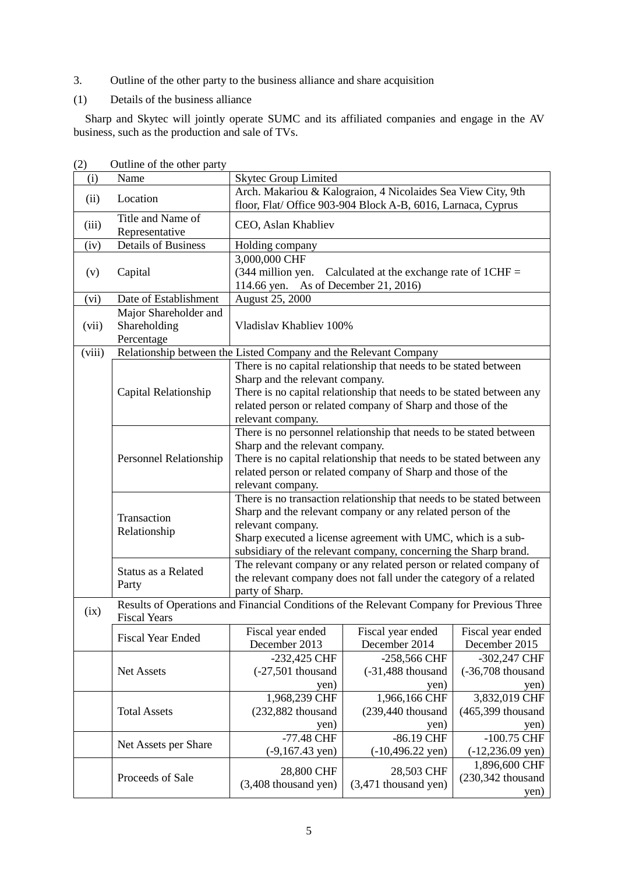- 3. Outline of the other party to the business alliance and share acquisition
- (1) Details of the business alliance

Sharp and Skytec will jointly operate SUMC and its affiliated companies and engage in the AV business, such as the production and sale of TVs.

| (i)    | Name                                                                                                             | <b>Skytec Group Limited</b>                                                                                                                                                                                                                                                                                                                                                                                                                                                                                                                                                                                                                                                                                                   |                                                                                                                                                                                                         |                                               |
|--------|------------------------------------------------------------------------------------------------------------------|-------------------------------------------------------------------------------------------------------------------------------------------------------------------------------------------------------------------------------------------------------------------------------------------------------------------------------------------------------------------------------------------------------------------------------------------------------------------------------------------------------------------------------------------------------------------------------------------------------------------------------------------------------------------------------------------------------------------------------|---------------------------------------------------------------------------------------------------------------------------------------------------------------------------------------------------------|-----------------------------------------------|
| (ii)   | Location                                                                                                         | Arch. Makariou & Kalograion, 4 Nicolaides Sea View City, 9th<br>floor, Flat/ Office 903-904 Block A-B, 6016, Larnaca, Cyprus                                                                                                                                                                                                                                                                                                                                                                                                                                                                                                                                                                                                  |                                                                                                                                                                                                         |                                               |
| (iii)  | Title and Name of<br>Representative                                                                              | CEO, Aslan Khabliev                                                                                                                                                                                                                                                                                                                                                                                                                                                                                                                                                                                                                                                                                                           |                                                                                                                                                                                                         |                                               |
| (iv)   | <b>Details of Business</b>                                                                                       | Holding company                                                                                                                                                                                                                                                                                                                                                                                                                                                                                                                                                                                                                                                                                                               |                                                                                                                                                                                                         |                                               |
| (v)    | Capital                                                                                                          | 3,000,000 CHF<br>(344 million yen.<br>Calculated at the exchange rate of $1CHF =$<br>114.66 yen. As of December 21, 2016)                                                                                                                                                                                                                                                                                                                                                                                                                                                                                                                                                                                                     |                                                                                                                                                                                                         |                                               |
| (vi)   | Date of Establishment                                                                                            | August 25, 2000                                                                                                                                                                                                                                                                                                                                                                                                                                                                                                                                                                                                                                                                                                               |                                                                                                                                                                                                         |                                               |
| (vii)  | Major Shareholder and<br>Shareholding<br>Percentage                                                              | Vladislav Khabliev 100%                                                                                                                                                                                                                                                                                                                                                                                                                                                                                                                                                                                                                                                                                                       |                                                                                                                                                                                                         |                                               |
| (viii) | Relationship between the Listed Company and the Relevant Company                                                 |                                                                                                                                                                                                                                                                                                                                                                                                                                                                                                                                                                                                                                                                                                                               |                                                                                                                                                                                                         |                                               |
|        | Capital Relationship                                                                                             | Sharp and the relevant company.<br>relevant company.                                                                                                                                                                                                                                                                                                                                                                                                                                                                                                                                                                                                                                                                          | There is no capital relationship that needs to be stated between<br>There is no capital relationship that needs to be stated between any<br>related person or related company of Sharp and those of the |                                               |
|        | Personnel Relationship                                                                                           | There is no personnel relationship that needs to be stated between<br>Sharp and the relevant company.<br>There is no capital relationship that needs to be stated between any<br>related person or related company of Sharp and those of the<br>relevant company.<br>There is no transaction relationship that needs to be stated between<br>Sharp and the relevant company or any related person of the<br>relevant company.<br>Sharp executed a license agreement with UMC, which is a sub-<br>subsidiary of the relevant company, concerning the Sharp brand.<br>The relevant company or any related person or related company of<br>the relevant company does not fall under the category of a related<br>party of Sharp. |                                                                                                                                                                                                         |                                               |
|        | Transaction<br>Relationship                                                                                      |                                                                                                                                                                                                                                                                                                                                                                                                                                                                                                                                                                                                                                                                                                                               |                                                                                                                                                                                                         |                                               |
|        | Status as a Related<br>Party                                                                                     |                                                                                                                                                                                                                                                                                                                                                                                                                                                                                                                                                                                                                                                                                                                               |                                                                                                                                                                                                         |                                               |
| (ix)   | Results of Operations and Financial Conditions of the Relevant Company for Previous Three<br><b>Fiscal Years</b> |                                                                                                                                                                                                                                                                                                                                                                                                                                                                                                                                                                                                                                                                                                                               |                                                                                                                                                                                                         |                                               |
|        | <b>Fiscal Year Ended</b>                                                                                         | Fiscal year ended<br>December 2013                                                                                                                                                                                                                                                                                                                                                                                                                                                                                                                                                                                                                                                                                            | Fiscal year ended<br>December 2014                                                                                                                                                                      | Fiscal year ended<br>December 2015            |
|        | Net Assets                                                                                                       | -232,425 CHF<br>$(-27,501$ thousand<br>yen)                                                                                                                                                                                                                                                                                                                                                                                                                                                                                                                                                                                                                                                                                   | -258,566 CHF<br>$(-31,488)$ thousand<br>yen)                                                                                                                                                            | -302,247 CHF<br>$(-36,708)$ thousand<br>yen)  |
|        | <b>Total Assets</b>                                                                                              | 1,968,239 CHF<br>(232,882 thousand<br>yen)                                                                                                                                                                                                                                                                                                                                                                                                                                                                                                                                                                                                                                                                                    | 1,966,166 CHF<br>$(239, 440)$ thousand<br>yen)                                                                                                                                                          | 3,832,019 CHF<br>$(465,399)$ thousand<br>yen) |
|        | Net Assets per Share                                                                                             | -77.48 CHF<br>$(-9,167.43 \text{ yen})$                                                                                                                                                                                                                                                                                                                                                                                                                                                                                                                                                                                                                                                                                       | -86.19 CHF<br>$(-10,496.22 \text{ yen})$                                                                                                                                                                | $-100.75$ CHF<br>$(-12,236.09 \text{ yen})$   |
|        | Proceeds of Sale                                                                                                 | 28,800 CHF<br>(3,408 thousand yen)                                                                                                                                                                                                                                                                                                                                                                                                                                                                                                                                                                                                                                                                                            | 28,503 CHF<br>$(3,471)$ thousand yen)                                                                                                                                                                   | 1,896,600 CHF<br>$(230,342)$ thousand<br>yen) |

(2) Outline of the other party